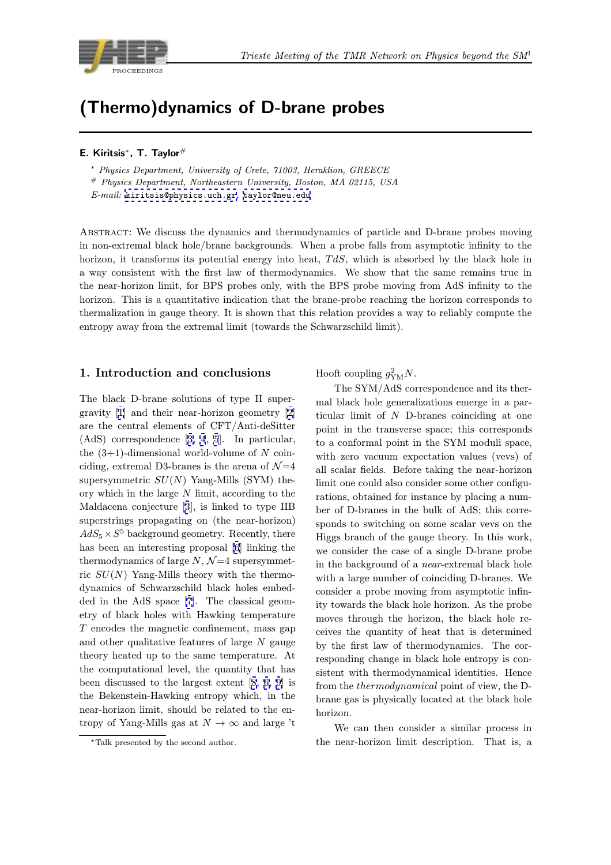

# (Thermo)dynamics of D-brane probes

#### E. Kiritsis∗, T. Taylor#

<sup>∗</sup> Physics Department, University of Crete, 71003, Heraklion, GREECE

# Physics Department, Northeastern University, Boston, MA 02115, USA

E-mail: kiritsis@physics.uch.gr, taylor@neu.edu

Abstract: We discuss the dynamics and thermodynamics of particle and D-brane probes moving in non-ex[tremal black hole/brane b](mailto:kiritsis@physics.uch.gr)[ackgrounds. Wh](mailto:taylor@neu.edu)en a probe falls from asymptotic infinity to the horizon, it transforms its potential energy into heat,  $TdS$ , which is absorbed by the black hole in a way consistent with the first law of thermodynamics. We show that the same remains true in the near-horizon limit, for BPS probes only, with the BPS probe moving from AdS infinity to the horizon. This is a quantitative indication that the brane-probe reaching the horizon corresponds to thermalization in gauge theory. It is shown that this relation provides a way to reliably compute the entropy away from the extremal limit (towards the Schwarzschild limit).

# 1. Introduction and conclusions

The black D-brane solutions of type II supergravity [1] and their near-horizon geometry [2] are the central elements of CFT/Anti-deSitter (AdS) correspondence [3, 4, 5]. In particular, the  $(3+1)$ -dimensional world-volume of N coinciding, e[xt](#page-7-0)remal D3-branes is the arena of  $\mathcal{N}=4$  $\mathcal{N}=4$ supersymmetric  $SU(N)$  Yang-Mills (SYM) theory which in the large [N](#page-7-0) l[im](#page-7-0)i[t,](#page-7-0) according to the Maldacena conjecture [3], is linked to type IIB superstrings propagating on (the near-horizon)  $AdS_5 \times S^5$  background geometry. Recently, there has been an interesting proposal [6] linking the th[e](#page-7-0)rmodynamics of large  $N, \mathcal{N}=4$  supersymmetric  $SU(N)$  Yang-Mills theory with the thermodynamics of Schwarzschild black holes embedded in the AdS space [7]. The c[la](#page-7-0)ssical geometry of black holes with Hawking temperature T encodes the magnetic confinement, mass gap and other qualitative features of large  $N$  gauge theory heated up to th[e](#page-7-0) same temperature. At the computational level, the quantity that has been discussed to the largest extent [8, 6, 9] is the Bekenstein-Hawking entropy which, in the near-horizon limit, should be related to the entropy of Yang-Mills gas at  $N \to \infty$  a[nd](#page-7-0) [la](#page-7-0)r[ge](#page-7-0) 't Hooft coupling  $g_{\text{YM}}^2 N$ .

The SYM/AdS correspondence and its thermal black hole generalizations emerge in a particular limit of N D-branes coinciding at one point in the transverse space; this corresponds to a conformal point in the SYM moduli space, with zero vacuum expectation values (vevs) of all scalar fields. Before taking the near-horizon limit one could also consider some other configurations, obtained for instance by placing a number of D-branes in the bulk of AdS; this corresponds to switching on some scalar vevs on the Higgs branch of the gauge theory. In this work, we consider the case of a single D-brane probe in the background of a near-extremal black hole with a large number of coinciding D-branes. We consider a probe moving from asymptotic infinity towards the black hole horizon. As the probe moves through the horizon, the black hole receives the quantity of heat that is determined by the first law of thermodynamics. The corresponding change in black hole entropy is consistent with thermodynamical identities. Hence from the thermodynamical point of view, the Dbrane gas is physically located at the black hole horizon.

We can then consider a similar process in the near-horizon limit description. That is, a

<sup>∗</sup>Talk presented by the second author.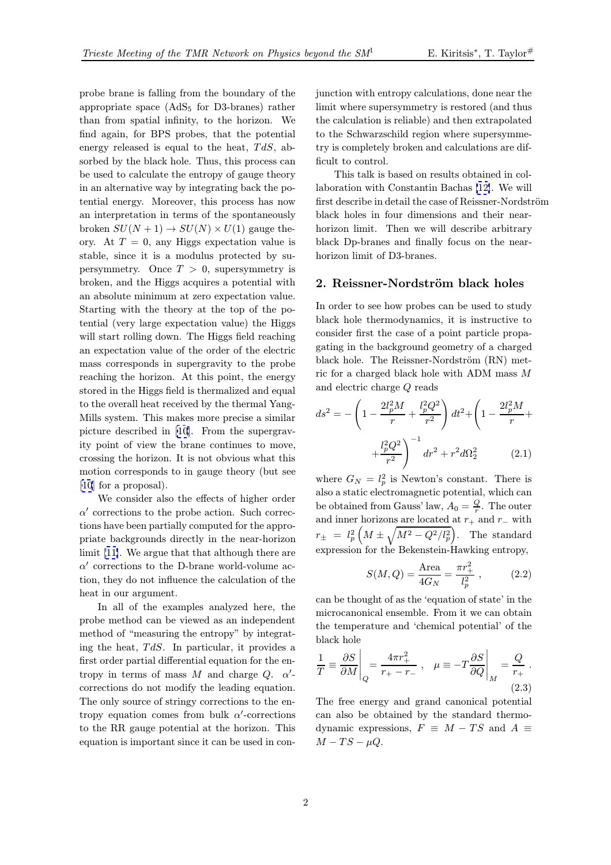probe brane is falling from the boundary of the appropriate space  $(AdS<sub>5</sub>$  for D3-branes) rather than from spatial infinity, to the horizon. We find again, for BPS probes, that the potential energy released is equal to the heat,  $TdS$ , absorbed by the black hole. Thus, this process can be used to calculate the entropy of gauge theory in an alternative way by integrating back the potential energy. Moreover, this process has now an interpretation in terms of the spontaneously broken  $SU(N+1) \rightarrow SU(N) \times U(1)$  gauge theory. At  $T = 0$ , any Higgs expectation value is stable, since it is a modulus protected by supersymmetry. Once  $T > 0$ , supersymmetry is broken, and the Higgs acquires a potential with an absolute minimum at zero expectation value. Starting with the theory at the top of the potential (very large expectation value) the Higgs will start rolling down. The Higgs field reaching an expectation value of the order of the electric mass corresponds in supergravity to the probe reaching the horizon. At this point, the energy stored in the Higgs field is thermalized and equal to the overall heat received by the thermal Yang-Mills system. This makes more precise a similar picture described in [10]. From the supergravity point of view the brane continues to move, crossing the horizon. It is not obvious what this motion corresponds t[o](#page-7-0) [in](#page-7-0) gauge theory (but see [10] for a proposal).

We consider also the effects of higher order  $\alpha'$  corrections to the probe action. Such corrections have been partially computed for the appro[pria](#page-7-0)te backgrounds directly in the near-horizon limit [11]. We argue that that although there are  $\alpha'$  corrections to the D-brane world-volume action, they do not influence the calculation of the heat in our argument.

I[n a](#page-7-0)ll of the examples analyzed here, the probe method can be viewed as an independent method of "measuring the entropy" by integrating the heat,  $TdS$ . In particular, it provides a first order partial differential equation for the entropy in terms of mass M and charge  $Q$ .  $\alpha'$ corrections do not modify the leading equation. The only source of stringy corrections to the entropy equation comes from bulk  $\alpha'$ -corrections to the RR gauge potential at the horizon. This equation is important since it can be used in conjunction with entropy calculations, done near the limit where supersymmetry is restored (and thus the calculation is reliable) and then extrapolated to the Schwarzschild region where supersymmetry is completely broken and calculations are difficult to control.

This talk is based on results obtained in collaboration with Constantin Bachas [12]. We will first describe in detail the case of Reissner-Nordström black holes in four dimensions and their nearhorizon limit. Then we will describe arbitrary black Dp-branes and finally focus [on](#page-7-0) the nearhorizon limit of D3-branes.

# 2. Reissner-Nordström black holes

In order to see how probes can be used to study black hole thermodynamics, it is instructive to consider first the case of a point particle propagating in the background geometry of a charged black hole. The Reissner-Nordström (RN) metric for a charged black hole with ADM mass M and electric charge Q reads

$$
ds^{2} = -\left(1 - \frac{2l_{p}^{2}M}{r} + \frac{l_{p}^{2}Q^{2}}{r^{2}}\right)dt^{2} + \left(1 - \frac{2l_{p}^{2}M}{r} + \frac{l_{p}^{2}Q^{2}}{r^{2}}\right)^{-1}dr^{2} + r^{2}d\Omega_{2}^{2}
$$
 (2.1)

where  $G_N = l_p^2$  is Newton's constant. There is also a static electromagnetic potential, which can be obtained from Gauss' law,  $A_0 = \frac{Q}{r}$ . The outer and inner horizons are located at  $r_+$  and  $r_-$  with  $r_{\pm} \; = \; l_p^2 \left( M \pm \sqrt{M^2 - Q^2/l_p^2} \right)$ . The standard expression for the Bekenstein-Hawking entropy,

$$
S(M,Q) = \frac{\text{Area}}{4G_N} = \frac{\pi r_+^2}{l_p^2} \,, \tag{2.2}
$$

can be thought of as the 'equation of state' in the microcanonical ensemble. From it we can obtain the temperature and 'chemical potential' of the black hole

$$
\frac{1}{T} \equiv \frac{\partial S}{\partial M} \bigg|_{Q} = \frac{4\pi r_{+}^{2}}{r_{+} - r_{-}} , \quad \mu \equiv -T \frac{\partial S}{\partial Q} \bigg|_{M} = \frac{Q}{r_{+}} .
$$
\n(2.3)

The free energy and grand canonical potential can also be obtained by the standard thermodynamic expressions,  $F \equiv M - TS$  and  $A \equiv$  $M-TS-\mu Q.$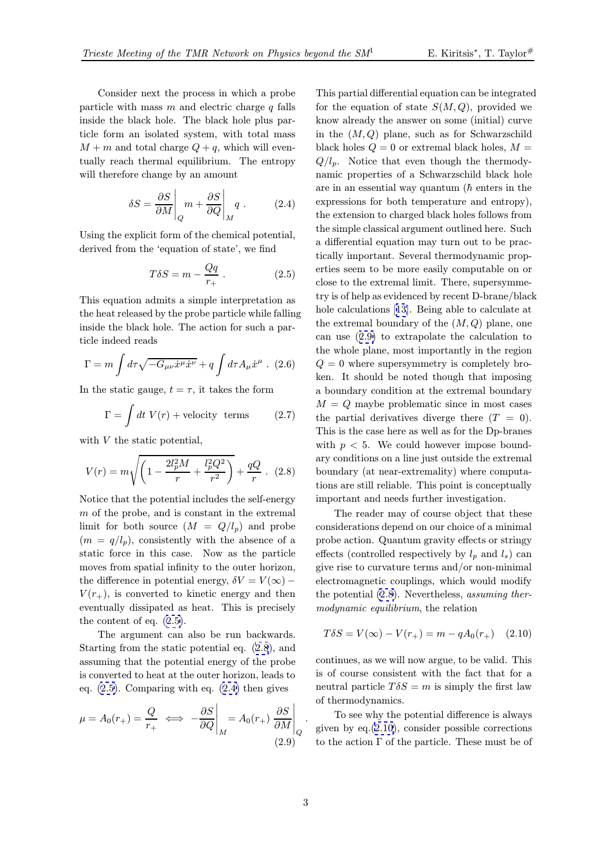<span id="page-2-0"></span>Consider next the process in which a probe particle with mass  $m$  and electric charge  $q$  falls inside the black hole. The black hole plus particle form an isolated system, with total mass  $M + m$  and total charge  $Q + q$ , which will eventually reach thermal equilibrium. The entropy will therefore change by an amount

$$
\delta S = \frac{\partial S}{\partial M} \bigg|_{Q} m + \frac{\partial S}{\partial Q} \bigg|_{M} q . \tag{2.4}
$$

Using the explicit form of the chemical potential, derived from the 'equation of state', we find

$$
T\delta S = m - \frac{Qq}{r_+} \,. \tag{2.5}
$$

This equation admits a simple interpretation as the heat released by the probe particle while falling inside the black hole. The action for such a particle indeed reads

$$
\Gamma = m \int d\tau \sqrt{-G_{\mu\nu}\dot{x}^{\mu}\dot{x}^{\nu}} + q \int d\tau A_{\mu}\dot{x}^{\mu} .
$$
 (2.6)

In the static gauge,  $t = \tau$ , it takes the form

$$
\Gamma = \int dt \ V(r) + \text{velocity terms} \tag{2.7}
$$

with  $V$  the static potential,

$$
V(r) = m\sqrt{\left(1 - \frac{2l_p^2M}{r} + \frac{l_p^2Q^2}{r^2}\right)} + \frac{qQ}{r} \quad (2.8)
$$

Notice that the potential includes the self-energy m of the probe, and is constant in the extremal limit for both source  $(M = Q/l_p)$  and probe  $(m = q/l_p)$ , consistently with the absence of a static force in this case. Now as the particle moves from spatial infinity to the outer horizon, the difference in potential energy,  $\delta V = V(\infty)$  –  $V(r_{+})$ , is converted to kinetic energy and then eventually dissipated as heat. This is precisely the content of eq. (2.5).

The argument can also be run backwards. Starting from the static potential eq. (2.8), and assuming that the potential energy of the probe is converted to heat at the outer horizon, leads to eq. (2.5). Comparing with eq. (2.4) then gives

$$
\mu = A_0(r_+) = \frac{Q}{r_+} \iff -\frac{\partial S}{\partial Q}\Big|_M = A_0(r_+) \left.\frac{\partial S}{\partial M}\right|_Q
$$
\n(2.9)

This partial differential equation can be integrated for the equation of state  $S(M,Q)$ , provided we know already the answer on some (initial) curve in the  $(M,Q)$  plane, such as for Schwarzschild black holes  $Q = 0$  or extremal black holes,  $M =$  $Q/l_p$ . Notice that even though the thermodynamic properties of a Schwarzschild black hole are in an essential way quantum  $(h$  enters in the expressions for both temperature and entropy), the extension to charged black holes follows from the simple classical argument outlined here. Such a differential equation may turn out to be practically important. Several thermodynamic properties seem to be more easily computable on or close to the extremal limit. There, supersymmetry is of help as evidenced by recent D-brane/black hole calculations [13]. Being able to calculate at the extremal boundary of the  $(M,Q)$  plane, one can use (2.9) to extrapolate the calculation to the whole plane, most importantly in the region  $Q = 0$  where sup[ersy](#page-7-0)mmetry is completely broken. It should be noted though that imposing a boundary condition at the extremal boundary  $M = Q$  maybe problematic since in most cases the partial derivatives diverge there  $(T = 0)$ . This is the case here as well as for the Dp-branes with  $p < 5$ . We could however impose boundary conditions on a line just outside the extremal boundary (at near-extremality) where computations are still reliable. This point is conceptually important and needs further investigation.

The reader may of course object that these considerations depend on our choice of a minimal probe action. Quantum gravity effects or stringy effects (controlled respectively by  $l_p$  and  $l_s$ ) can give rise to curvature terms and/or non-minimal electromagnetic couplings, which would modify the potential  $(2.8)$ . Nevertheless, assuming thermodynamic equilibrium, the relation

$$
T\delta S = V(\infty) - V(r_{+}) = m - qA_0(r_{+}) \quad (2.10)
$$

continues, as we will now argue, to be valid. This is of course consistent with the fact that for a neutral particle  $T \delta S = m$  is simply the first law of thermodynamics.

To see why the potential difference is always given by  $eq.(2.10)$ , consider possible corrections to the action Γ of the particle. These must be of

.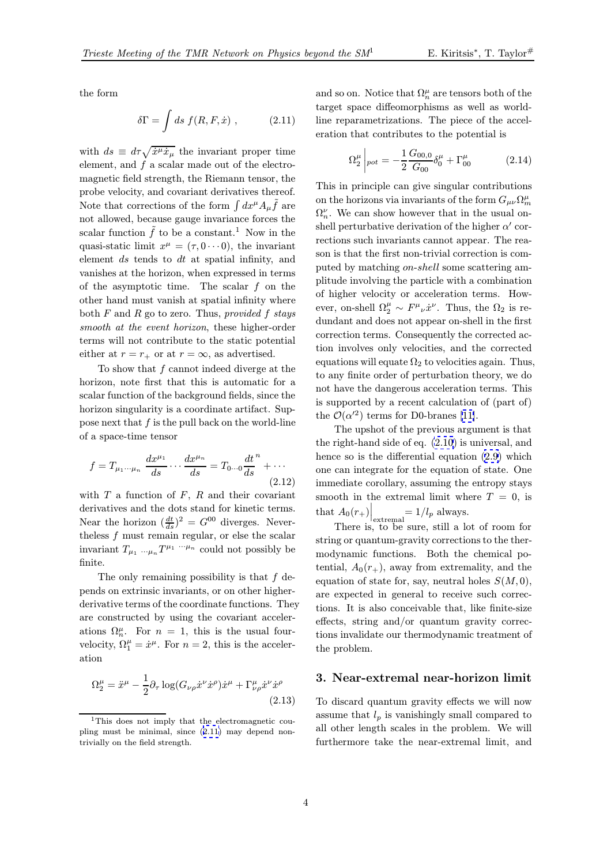the form

$$
\delta\Gamma = \int ds \ f(R, F, \dot{x}) \ , \qquad (2.11)
$$

with  $ds \equiv d\tau \sqrt{\dot{x}^{\mu} \dot{x}_{\mu}}$  the invariant proper time element, and  $f$  a scalar made out of the electromagnetic field strength, the Riemann tensor, the probe velocity, and covariant derivatives thereof. Note that corrections of the form  $\int dx^{\mu}A_{\mu}\hat{f}$  are not allowed, because gauge invariance forces the scalar function  $\tilde{f}$  to be a constant.<sup>1</sup> Now in the quasi-static limit  $x^{\mu} = (\tau, 0 \cdots 0)$ , the invariant element ds tends to dt at spatial infinity, and vanishes at the horizon, when expressed in terms of the asymptotic time. The scalar  $f$  on the other hand must vanish at spatial infinity where both  $F$  and  $R$  go to zero. Thus, provided  $f$  stays smooth at the event horizon, these higher-order terms will not contribute to the static potential either at  $r = r_+$  or at  $r = \infty$ , as advertised.

To show that  $f$  cannot indeed diverge at the horizon, note first that this is automatic for a scalar function of the background fields, since the horizon singularity is a coordinate artifact. Suppose next that  $f$  is the pull back on the world-line of a space-time tensor

$$
f = T_{\mu_1 \cdots \mu_n} \frac{dx^{\mu_1}}{ds} \cdots \frac{dx^{\mu_n}}{ds} = T_{0 \cdots 0} \frac{dt^n}{ds} + \cdots
$$
\n(2.12)

with  $T$  a function of  $F$ ,  $R$  and their covariant derivatives and the dots stand for kinetic terms. Near the horizon  $\left(\frac{dt}{ds}\right)^2 = G^{00}$  diverges. Neverthe less  $f$  must remain regular, or else the scalar invariant  $T_{\mu_1 \ldots \mu_n} T^{\mu_1 \ldots \mu_n}$  could not possibly be finite.

The only remaining possibility is that  $f$  depends on extrinsic invariants, or on other higherderivative terms of the coordinate functions. They are constructed by using the covariant accelerations  $\Omega_n^{\mu}$ . For  $n = 1$ , this is the usual fourvelocity,  $\Omega_1^{\mu} = \dot{x}^{\mu}$ . For  $n = 2$ , this is the acceleration

$$
\Omega_2^{\mu} = \ddot{x}^{\mu} - \frac{1}{2} \partial_{\tau} \log(G_{\nu\rho} \dot{x}^{\nu} \dot{x}^{\rho}) \dot{x}^{\mu} + \Gamma_{\nu\rho}^{\mu} \dot{x}^{\nu} \dot{x}^{\rho}
$$
\n(2.13)

and so on. Notice that  $\Omega_n^{\mu}$  are tensors both of the target space diffeomorphisms as well as worldline reparametrizations. The piece of the acceleration that contributes to the potential is

$$
\Omega_2^{\mu} \left|_{pot} = -\frac{1}{2} \frac{G_{00,0}}{G_{00}} \delta_0^{\mu} + \Gamma_{00}^{\mu} \tag{2.14}
$$

This in principle can give singular contributions on the horizons via invariants of the form  $G_{\mu\nu}\Omega_m^{\mu}$  $\Omega_n^{\nu}$ . We can show however that in the usual onshell perturbative derivation of the higher  $\alpha'$  corrections such invariants cannot appear. The reason is that the first non-trivial correction is computed by matching on-shell some scattering amplitude involving the particle with a combination of higher velocity or acceleration terms. However, on-shell  $\Omega_2^{\mu} \sim F^{\mu}{}_{\nu}\dot{x}^{\nu}$ . Thus, the  $\Omega_2$  is redundant and does not appear on-shell in the first correction terms. Consequently the corrected action involves only velocities, and the corrected equations will equate  $\Omega_2$  to velocities again. Thus, to any finite order of perturbation theory, we do not have the dangerous acceleration terms. This is supported by a recent calculation of (part of) the  $\mathcal{O}(\alpha^{2})$  terms for D0-branes [11].

The upshot of the previous argument is that the right-hand side of eq. (2.10) is universal, and hence so is the differential equation (2.9) which one can integrate for the equati[on o](#page-7-0)f state. One immediate corollary, assuming the entropy stays smooth in the extremal l[imit](#page-2-0) where  $T = 0$  $T = 0$ , is that  $A_0(r_+) \Big|_{\substack{\text{extremal} \\ \text{symmetry}}} = 1/l_p \text{ always.}$ 

There is, to be sure, still a lot of room for string or quantum-gravity corrections to the thermodynamic functions. Both the chemical potential,  $A_0(r_+)$ , away from extremality, and the equation of state for, say, neutral holes  $S(M, 0)$ , are expected in general to receive such corrections. It is also conceivable that, like finite-size effects, string and/or quantum gravity corrections invalidate our thermodynamic treatment of the problem.

#### 3. Near-extremal near-horizon limit

To discard quantum gravity effects we will now assume that  $l_p$  is vanishingly small compared to all other length scales in the problem. We will furthermore take the near-extremal limit, and

<sup>&</sup>lt;sup>1</sup>This does not imply that the electromagnetic coupling must be minimal, since (2.11) may depend nontrivially on the field strength.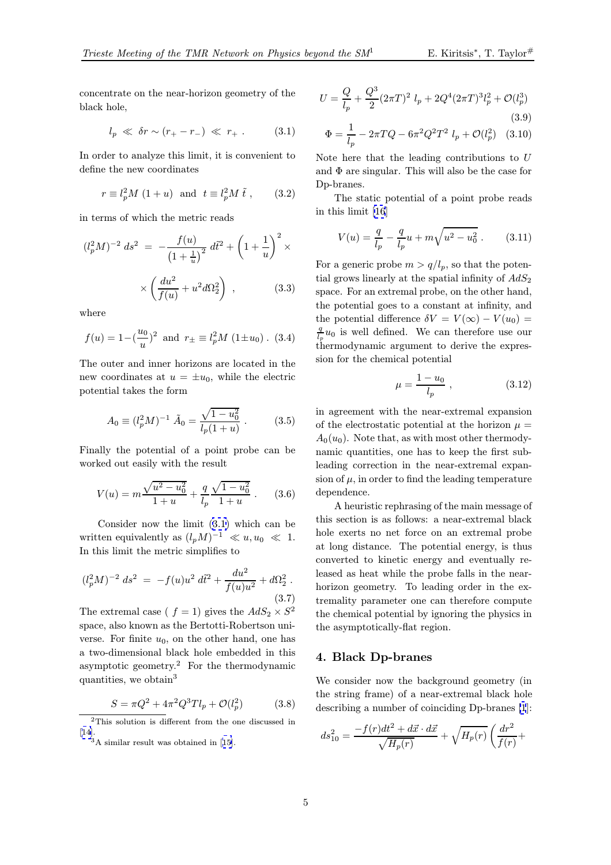concentrate on the near-horizon geometry of the black hole,

$$
l_p \ll \delta r \sim (r_+ - r_-) \ll r_+ \ . \tag{3.1}
$$

In order to analyze this limit, it is convenient to define the new coordinates

$$
r \equiv l_p^2 M (1+u) \text{ and } t \equiv l_p^2 M \tilde{t}, \qquad (3.2)
$$

in terms of which the metric reads

$$
(l_p^2 M)^{-2} ds^2 = -\frac{f(u)}{(1 + \frac{1}{u})^2} d\tilde{t}^2 + \left(1 + \frac{1}{u}\right)^2 \times
$$

$$
\times \left(\frac{du^2}{f(u)} + u^2 d\Omega_2^2\right) , \qquad (3.3)
$$

where

$$
f(u) = 1 - (\frac{u_0}{u})^2
$$
 and  $r_{\pm} \equiv l_p^2 M (1 \pm u_0)$ . (3.4)

The outer and inner horizons are located in the new coordinates at  $u = \pm u_0$ , while the electric potential takes the form

$$
A_0 \equiv (l_p^2 M)^{-1} \tilde{A}_0 = \frac{\sqrt{1 - u_0^2}}{l_p (1 + u)} \,. \tag{3.5}
$$

Finally the potential of a point probe can be worked out easily with the result

$$
V(u) = m \frac{\sqrt{u^2 - u_0^2}}{1 + u} + \frac{q}{l_p} \frac{\sqrt{1 - u_0^2}}{1 + u} .
$$
 (3.6)

Consider now the limit (3.1) which can be written equivalently as  $(l_pM)^{-1} \ll u, u_0 \ll 1$ . In this limit the metric simplifies to

$$
(l_p^2 M)^{-2} ds^2 = -f(u)u^2 d\tilde{t}^2 + \frac{du^2}{f(u)u^2} + d\Omega_2^2.
$$
\n(3.7)

The extremal case (  $f = 1$ ) gives the  $AdS_2 \times S^2$ space, also known as the Bertotti-Robertson universe. For finite  $u_0$ , on the other hand, one has a two-dimensional black hole embedded in this asymptotic geometry.<sup>2</sup> For the thermodynamic quantities, we obtain<sup>3</sup>

$$
S = \pi Q^2 + 4\pi^2 Q^3 T l_p + \mathcal{O}(l_p^2) \tag{3.8}
$$

$$
U = \frac{Q}{l_p} + \frac{Q^3}{2} (2\pi T)^2 l_p + 2Q^4 (2\pi T)^3 l_p^2 + \mathcal{O}(l_p^3)
$$
\n(3.9)

$$
\Phi = \frac{1}{l_p} - 2\pi T Q - 6\pi^2 Q^2 T^2 l_p + \mathcal{O}(l_p^2) \quad (3.10)
$$

Note here that the leading contributions to  $U$ and  $\Phi$  are singular. This will also be the case for Dp-branes.

The static potential of a point probe reads in this limit [16]

$$
V(u) = \frac{q}{l_p} - \frac{q}{l_p}u + m\sqrt{u^2 - u_0^2}.
$$
 (3.11)

For a generic [pr](#page-7-0)obe  $m > q/l_p$ , so that the potential grows linearly at the spatial infinity of  $AdS_2$ space. For an extremal probe, on the other hand, the potential goes to a constant at infinity, and the potential difference  $\delta V = V(\infty) - V(u_0) =$  $\frac{q}{l_e}u_0$  is well defined. We can therefore use our thermodynamic argument to derive the expression for the chemical potential

$$
\mu = \frac{1 - u_0}{l_p} \;, \tag{3.12}
$$

in agreement with the near-extremal expansion of the electrostatic potential at the horizon  $\mu =$  $A_0(u_0)$ . Note that, as with most other thermodynamic quantities, one has to keep the first subleading correction in the near-extremal expansion of  $\mu$ , in order to find the leading temperature dependence.

A heuristic rephrasing of the main message of this section is as follows: a near-extremal black hole exerts no net force on an extremal probe at long distance. The potential energy, is thus converted to kinetic energy and eventually released as heat while the probe falls in the nearhorizon geometry. To leading order in the extremality parameter one can therefore compute the chemical potential by ignoring the physics in the asymptotically-flat region.

# 4. Black Dp-branes

We consider now the background geometry (in the string frame) of a near-extremal black hole describing a number of coinciding Dp-branes [1]:

$$
ds_{10}^2 = \frac{-f(r)dt^2 + d\vec{x} \cdot d\vec{x}}{\sqrt{H_p(r)}} + \sqrt{H_p(r)} \left(\frac{dr^2}{f(r)} + \right.
$$

<sup>2</sup>This solution is different from the one discussed in [14].

<sup>3</sup>A similar result was obtained in [15].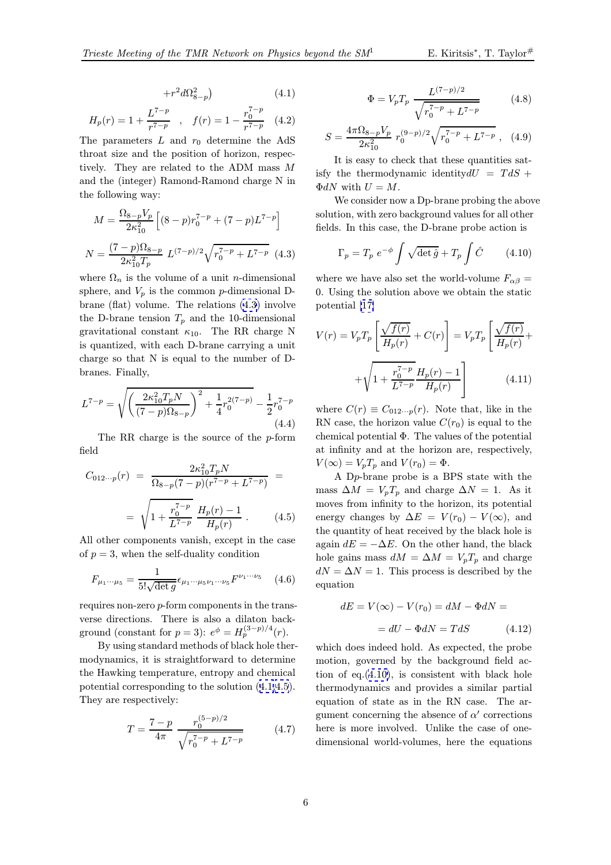$$
+r^2d\Omega_{8-p}^2\big) \qquad \qquad (4.1)
$$

<span id="page-5-0"></span>
$$
H_p(r) = 1 + \frac{L^{7-p}}{r^{7-p}} \quad , \quad f(r) = 1 - \frac{r_0^{7-p}}{r^{7-p}} \quad (4.2)
$$

The parameters  $L$  and  $r_0$  determine the AdS throat size and the position of horizon, respectively. They are related to the ADM mass M and the (integer) Ramond-Ramond charge N in the following way:

$$
M = \frac{\Omega_{8-p} V_p}{2\kappa_{10}^2} \left[ (8-p)r_0^{7-p} + (7-p)L^{7-p} \right]
$$

$$
N = \frac{(7-p)\Omega_{8-p}}{2\kappa_{10}^2 T_p} L^{(7-p)/2} \sqrt{r_0^{7-p} + L^{7-p}} \quad (4.3)
$$

where  $\Omega_n$  is the volume of a unit *n*-dimensional sphere, and  $V_p$  is the common p-dimensional Dbrane (flat) volume. The relations (4.3) involve the D-brane tension  $T_p$  and the 10-dimensional gravitational constant  $\kappa_{10}$ . The RR charge N is quantized, with each D-brane carrying a unit charge so that N is equal to the number of Dbranes. Finally,

$$
L^{7-p} = \sqrt{\left(\frac{2\kappa_{10}^2 T_p N}{(7-p)\Omega_{8-p}}\right)^2 + \frac{1}{4}r_0^{2(7-p)} - \frac{1}{2}r_0^{7-p}}
$$
\n(4.4)

The RR charge is the source of the p-form field

$$
C_{012\cdots p}(r) = \frac{2\kappa_{10}^2 T_p N}{\Omega_{8-p}(7-p)(r^{7-p} + L^{7-p})} =
$$

$$
= \sqrt{1 + \frac{r_0^{7-p}}{L^{7-p}} \frac{H_p(r) - 1}{H_p(r)}}.
$$
(4.5)

All other components vanish, except in the case of  $p = 3$ , when the self-duality condition

$$
F_{\mu_1 \cdots \mu_5} = \frac{1}{5! \sqrt{\det g}} \epsilon_{\mu_1 \cdots \mu_5 \nu_1 \cdots \nu_5} F^{\nu_1 \cdots \nu_5} \quad (4.6)
$$

requires non-zero p-form components in the transverse directions. There is also a dilaton background (constant for  $p = 3$ ):  $e^{\phi} = H_p^{(3-p)/4}(r)$ .

By using standard methods of black hole thermodynamics, it is straightforward to determine the Hawking temperature, entropy and chemical potential corresponding to the solution (4.1,4.5). They are respectively:

$$
T = \frac{7 - p}{4\pi} \frac{r_0^{(5 - p)/2}}{\sqrt{r_0^{7 - p} + L^{7 - p}}}
$$
(4.7)

$$
\Phi = V_p T_p \frac{L^{(7-p)/2}}{\sqrt{r_0^{7-p} + L^{7-p}}}
$$
(4.8)

$$
S = \frac{4\pi\Omega_{8-p}V_p}{2\kappa_{10}^2} r_0^{(9-p)/2} \sqrt{r_0^{7-p} + L^{7-p}} , \quad (4.9)
$$

It is easy to check that these quantities satisfy the thermodynamic identity  $dU = T dS +$  $\Phi dN$  with  $U = M$ .

We consider now a Dp-brane probing the above solution, with zero background values for all other fields. In this case, the D-brane probe action is

$$
\Gamma_p = T_p e^{-\phi} \int \sqrt{\det \hat{g}} + T_p \int \hat{C} \qquad (4.10)
$$

where we have also set the world-volume  $F_{\alpha\beta} =$ 0. Using the solution above we obtain the static potential [17]

$$
V(r) = V_p T_p \left[ \frac{\sqrt{f(r)}}{H_p(r)} + C(r) \right] = V_p T_p \left[ \frac{\sqrt{f(r)}}{H_p(r)} + \sqrt{1 + \frac{r_0^7 - p}{L^7 - p}} \frac{H_p(r) - 1}{H_p(r)} \right]
$$
(4.11)

where  $C(r) \equiv C_{012\cdots p}(r)$ . Note that, like in the RN case, the horizon value  $C(r_0)$  is equal to the chemical potential Φ. The values of the potential at infinity and at the horizon are, respectively,  $V(\infty) = V_p T_p$  and  $V(r_0) = \Phi$ .

A Dp-brane probe is a BPS state with the mass  $\Delta M = V_p T_p$  and charge  $\Delta N = 1$ . As it moves from infinity to the horizon, its potential energy changes by  $\Delta E = V(r_0) - V(\infty)$ , and the quantity of heat received by the black hole is again  $dE = -\Delta E$ . On the other hand, the black hole gains mass  $dM = \Delta M = V_p T_p$  and charge  $dN = \Delta N = 1$ . This process is described by the equation

$$
dE = V(\infty) - V(r_0) = dM - \Phi dN =
$$

$$
= dU - \Phi dN = T dS \qquad (4.12)
$$

which does indeed hold. As expected, the probe motion, governed by the background field action of eq.(4.10), is consistent with black hole thermodynamics and provides a similar partial equation of state as in the RN case. The argument concerning the absence of  $\alpha'$  corrections here is more involved. Unlike the case of onedimensional world-volumes, here the equations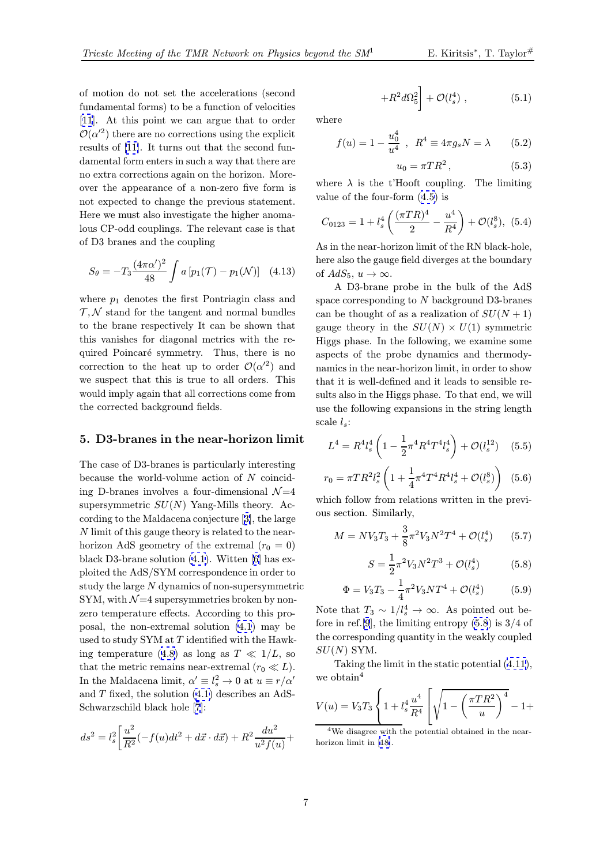$(5.1)$ 

<span id="page-6-0"></span>of motion do not set the accelerations (second fundamental forms) to be a function of velocities [11]. At this point we can argue that to order  $\mathcal{O}(\alpha^{2})$  there are no corrections using the explicit results of [11]. It turns out that the second fundamental form enters in such a way that there are [no](#page-7-0) extra corrections again on the horizon. Moreover the appearance of a non-zero five form is not expec[ted](#page-7-0) to change the previous statement. Here we must also investigate the higher anomalous CP-odd couplings. The relevant case is that of D3 branes and the coupling

$$
S_{\theta} = -T_3 \frac{(4\pi\alpha')^2}{48} \int a \left[ p_1(\mathcal{T}) - p_1(\mathcal{N}) \right] \quad (4.13)
$$

where  $p_1$  denotes the first Pontriagin class and  $\mathcal{T}, \mathcal{N}$  stand for the tangent and normal bundles to the brane respectively It can be shown that this vanishes for diagonal metrics with the required Poincaré symmetry. Thus, there is no correction to the heat up to order  $\mathcal{O}(\alpha^2)$  and we suspect that this is true to all orders. This would imply again that all corrections come from the corrected background fields.

#### 5. D3-branes in the near-horizon limit

The case of D3-branes is particularly interesting because the world-volume action of  $N$  coinciding D-branes involves a four-dimensional  $\mathcal{N}=4$ supersymmetric  $SU(N)$  Yang-Mills theory. According to the Maldacena conjecture [3], the large N limit of this gauge theory is related to the nearhorizon AdS geometry of the extremal  $(r_0 = 0)$ black D3-brane solution (4.1). Witten [6] has exploited the AdS/SYM correspondenc[e i](#page-7-0)n order to study the large N dynamics of non-supersymmetric SYM, with  $\mathcal{N}=4$  supersymmetries broken by nonzero temperature effects. [Ac](#page-5-0)cording to [t](#page-7-0)his proposal, the non-extremal solution (4.1) may be used to study SYM at  $T$  identified with the Hawking temperature (4.8) as long as  $T \ll 1/L$ , so that the metric remains near-extremal  $(r_0 \ll L)$ . In the Maldacena limit,  $\alpha' \equiv l_s^2 \to 0$  at  $u \equiv r/\alpha'$ and  $T$  fixed, the solution  $(4.1)$  describes an AdS-Schwarzschild bla[ck h](#page-5-0)ole [7]:

$$
ds^{2} = l_{s}^{2} \left[ \frac{u^{2}}{R^{2}} (-f(u)dt^{2} + d\vec{x} \cdot d\vec{x}) + R^{2} \frac{du^{2}}{u^{2} f(u)} + \right.
$$

where

$$
f(u) = 1 - \frac{u_0^4}{u^4} , R^4 \equiv 4\pi g_s N = \lambda
$$
 (5.2)

 $+ \mathcal{O}(l_s^4$ 

 $+R^2d\Omega_5^2$ 

$$
u_0 = \pi T R^2, \qquad (5.3)
$$

where  $\lambda$  is the t'Hooft coupling. The limiting value of the four-form (4.5) is

$$
C_{0123} = 1 + l_s^4 \left( \frac{(\pi TR)^4}{2} - \frac{u^4}{R^4} \right) + \mathcal{O}(l_s^8), \tag{5.4}
$$

As in the near-horizon l[imit](#page-5-0) of the RN black-hole, here also the gauge field diverges at the boundary of  $AdS_5$ ,  $u \to \infty$ .

A D3-brane probe in the bulk of the AdS space corresponding to N background D3-branes can be thought of as a realization of  $SU(N+1)$ gauge theory in the  $SU(N) \times U(1)$  symmetric Higgs phase. In the following, we examine some aspects of the probe dynamics and thermodynamics in the near-horizon limit, in order to show that it is well-defined and it leads to sensible results also in the Higgs phase. To that end, we will use the following expansions in the string length scale  $l_s$ :

$$
L^{4} = R^{4} l_{s}^{4} \left( 1 - \frac{1}{2} \pi^{4} R^{4} T^{4} l_{s}^{4} \right) + \mathcal{O}(l_{s}^{12}) \quad (5.5)
$$

$$
r_0 = \pi TR^2 l_s^2 \left( 1 + \frac{1}{4} \pi^4 T^4 R^4 l_s^4 + \mathcal{O}(l_s^8) \right) (5.6)
$$

which follow from relations written in the previous section. Similarly,

$$
M = NV_3T_3 + \frac{3}{8}\pi^2V_3N^2T^4 + \mathcal{O}(l_s^4) \qquad (5.7)
$$

$$
S = \frac{1}{2}\pi^2 V_3 N^2 T^3 + \mathcal{O}(l_s^4) \tag{5.8}
$$

$$
\Phi = V_3 T_3 - \frac{1}{4} \pi^2 V_3 N T^4 + \mathcal{O}(l_s^4) \tag{5.9}
$$

Note that  $T_3 \sim 1/l_s^4 \to \infty$ . As pointed out before in ref. [9], the limiting entropy  $(5.8)$  is  $3/4$  of the corresponding quantity in the weakly coupled  $SU(N)$  SYM.

Takin[g](#page-7-0) [t](#page-7-0)he limit in the static potential (4.11), we obtain<sup>4</sup>

$$
V(u) = V_3 T_3 \left\{ 1 + l_s^4 \frac{u^4}{R^4} \left[ \sqrt{1 - \left(\frac{\pi T R^2}{u}\right)^4} - 1 + \frac{1}{\sqrt{1 - \left(\frac{\pi T R^2}{u}\right)^4}} \right] \right\}
$$

<sup>4</sup>We disagree with the potential obtained in the nearhorizon limit in [18].